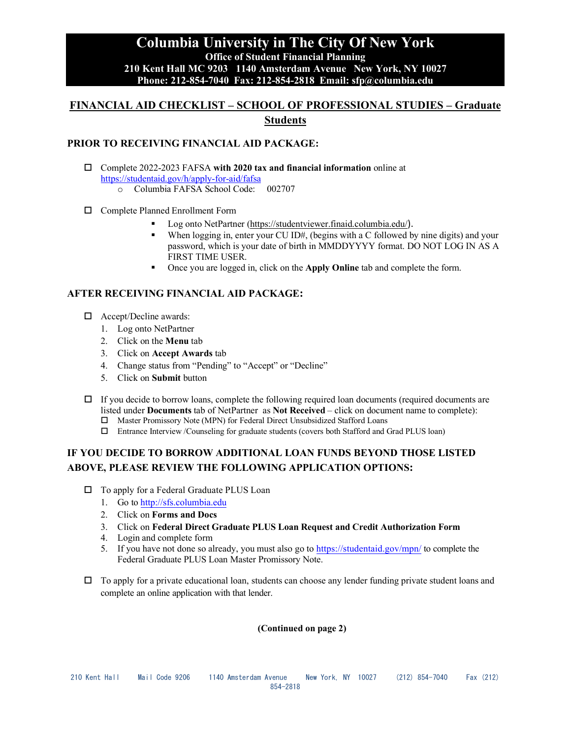## **Columbia University in The City Of New York Office of Student Financial Planning 210 Kent Hall MC 9203 1140 Amsterdam Avenue New York, NY 10027 Phone: 212-854-7040 Fax: 212-854-2818 Email: sfp@columbia.edu**

# **FINANCIAL AID CHECKLIST – SCHOOL OF PROFESSIONAL STUDIES – Graduate Students**

### **PRIOR TO RECEIVING FINANCIAL AID PACKAGE:**

- Complete 2022-2023 FAFSA **with 2020 tax and financial information** online at <https://studentaid.gov/h/apply-for-aid/fafsa> o Columbia FAFSA School Code: 002707
	-
- □ Complete Planned Enrollment Form
	- Log onto NetPartner [\(https://studentviewer.finaid.columbia.edu/](https://studentviewer.finaid.columbia.edu/)).
	- When logging in, enter your CU ID#, (begins with a C followed by nine digits) and your password, which is your date of birth in MMDDYYYY format. DO NOT LOG IN AS A FIRST TIME USER.
	- Once you are logged in, click on the **Apply Online** tab and complete the form.

#### **AFTER RECEIVING FINANCIAL AID PACKAGE:**

- □ Accept/Decline awards:
	- 1. Log onto NetPartner
	- 2. Click on the **Menu** tab
	- 3. Click on **Accept Awards** tab
	- 4. Change status from "Pending" to "Accept" or "Decline"
	- 5. Click on **Submit** button
- $\Box$  If you decide to borrow loans, complete the following required loan documents (required documents are listed under **Documents** tab of NetPartner as **Not Received** – click on document name to complete):
	- Master Promissory Note (MPN) for Federal Direct Unsubsidized Stafford Loans
	- Entrance Interview /Counseling for graduate students (covers both Stafford and Grad PLUS loan)

## **IF YOU DECIDE TO BORROW ADDITIONAL LOAN FUNDS BEYOND THOSE LISTED ABOVE, PLEASE REVIEW THE FOLLOWING APPLICATION OPTIONS:**

- □ To apply for a Federal Graduate PLUS Loan
	- 1. Go to [http://sfs.columbia.edu](http://sfs.columbia.edu/)
	- 2. Click on **Forms and Docs**
	- 3. Click on **Federal Direct Graduate PLUS Loan Request and Credit Authorization Form**
	- 4. Login and complete form
	- 5. If you have not done so already, you must also go to <https://studentaid.gov/mpn/> to complete the Federal Graduate PLUS Loan Master Promissory Note.
- $\Box$  To apply for a private educational loan, students can choose any lender funding private student loans and complete an online application with that lender.

#### **(Continued on page 2)**